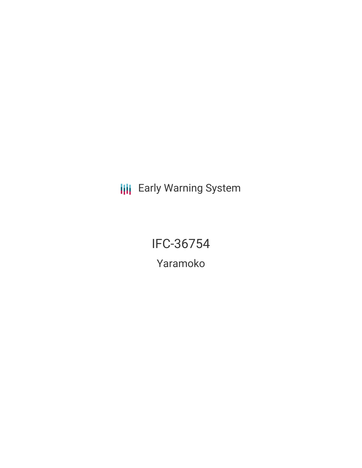**III** Early Warning System

IFC-36754

Yaramoko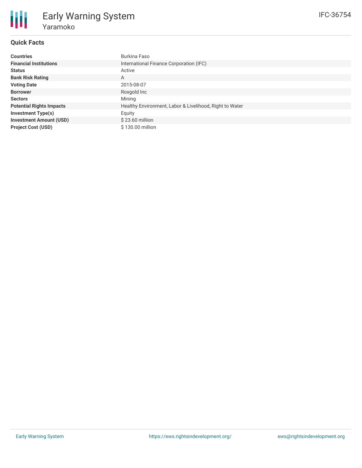# **Quick Facts**

| <b>Countries</b>                | Burkina Faso                                            |  |  |  |
|---------------------------------|---------------------------------------------------------|--|--|--|
| <b>Financial Institutions</b>   | International Finance Corporation (IFC)                 |  |  |  |
| <b>Status</b>                   | Active                                                  |  |  |  |
| <b>Bank Risk Rating</b>         | A                                                       |  |  |  |
| <b>Voting Date</b>              | 2015-08-07                                              |  |  |  |
| <b>Borrower</b>                 | Roxgold Inc                                             |  |  |  |
| <b>Sectors</b>                  | Mining                                                  |  |  |  |
| <b>Potential Rights Impacts</b> | Healthy Environment, Labor & Livelihood, Right to Water |  |  |  |
| <b>Investment Type(s)</b>       | Equity                                                  |  |  |  |
| <b>Investment Amount (USD)</b>  | $$23.60$ million                                        |  |  |  |
| <b>Project Cost (USD)</b>       | \$130.00 million                                        |  |  |  |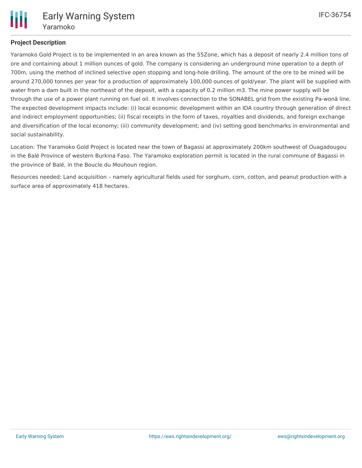

# **Project Description**

Yaramoko Gold Project is to be implemented in an area known as the 55Zone, which has a deposit of nearly 2.4 million tons of ore and containing about 1 million ounces of gold. The company is considering an underground mine operation to a depth of 700m, using the method of inclined selective open stopping and long-hole drilling. The amount of the ore to be mined will be around 270,000 tonnes per year for a production of approximately 100,000 ounces of gold/year. The plant will be supplied with water from a dam built in the northeast of the deposit, with a capacity of 0.2 million m3. The mine power supply will be through the use of a power plant running on fuel oil. It involves connection to the SONABEL grid from the existing Pa-wonâ line. The expected development impacts include: (i) local economic development within an IDA country through generation of direct and indirect employment opportunities; (ii) fiscal receipts in the form of taxes, royalties and dividends, and foreign exchange and diversification of the local economy; (iii) community development; and (iv) setting good benchmarks in environmental and social sustainability.

Location: The Yaramoko Gold Project is located near the town of Bagassi at approximately 200km southwest of Ouagadougou in the Balé Province of western Burkina Faso. The Yaramoko exploration permit is located in the rural commune of Bagassi in the province of Balé, in the Boucle du Mouhoun region.

Resources needed: Land acquisition – namely agricultural fields used for sorghum, corn, cotton, and peanut production with a surface area of approximately 418 hectares.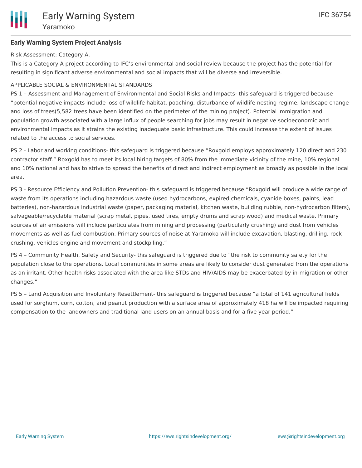## **Early Warning System Project Analysis**

Risk Assessment: Category A.

This is a Category A project according to IFC's environmental and social review because the project has the potential for resulting in significant adverse environmental and social impacts that will be diverse and irreversible.

### APPLICABLE SOCIAL & ENVIRONMENTAL STANDARDS

PS 1 – Assessment and Management of Environmental and Social Risks and Impacts- this safeguard is triggered because "potential negative impacts include loss of wildlife habitat, poaching, disturbance of wildlife nesting regime, landscape change and loss of trees(5,582 trees have been identified on the perimeter of the mining project). Potential immigration and population growth associated with a large influx of people searching for jobs may result in negative socioeconomic and environmental impacts as it strains the existing inadequate basic infrastructure. This could increase the extent of issues related to the access to social services.

PS 2 - Labor and working conditions- this safeguard is triggered because "Roxgold employs approximately 120 direct and 230 contractor staff." Roxgold has to meet its local hiring targets of 80% from the immediate vicinity of the mine, 10% regional and 10% national and has to strive to spread the benefits of direct and indirect employment as broadly as possible in the local area.

PS 3 - Resource Efficiency and Pollution Prevention- this safeguard is triggered because "Roxgold will produce a wide range of waste from its operations including hazardous waste (used hydrocarbons, expired chemicals, cyanide boxes, paints, lead batteries), non-hazardous industrial waste (paper, packaging material, kitchen waste, building rubble, non-hydrocarbon filters), salvageable/recyclable material (scrap metal, pipes, used tires, empty drums and scrap wood) and medical waste. Primary sources of air emissions will include particulates from mining and processing (particularly crushing) and dust from vehicles movements as well as fuel combustion. Primary sources of noise at Yaramoko will include excavation, blasting, drilling, rock crushing, vehicles engine and movement and stockpiling."

PS 4 – Community Health, Safety and Security- this safeguard is triggered due to "the risk to community safety for the population close to the operations. Local communities in some areas are likely to consider dust generated from the operations as an irritant. Other health risks associated with the area like STDs and HIV/AIDS may be exacerbated by in-migration or other changes."

PS 5 – Land Acquisition and Involuntary Resettlement- this safeguard is triggered because "a total of 141 agricultural fields used for sorghum, corn, cotton, and peanut production with a surface area of approximately 418 ha will be impacted requiring compensation to the landowners and traditional land users on an annual basis and for a five year period."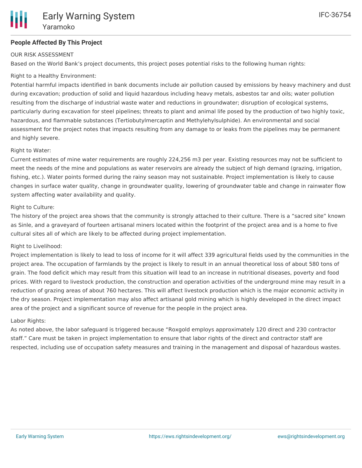## **People Affected By This Project**

#### OUR RISK ASSESSMENT

Based on the World Bank's project documents, this project poses potential risks to the following human rights:

## Right to a Healthy Environment:

Potential harmful impacts identified in bank documents include air pollution caused by emissions by heavy machinery and dust during excavation; production of solid and liquid hazardous including heavy metals, asbestos tar and oils; water pollution resulting from the discharge of industrial waste water and reductions in groundwater; disruption of ecological systems, particularly during excavation for steel pipelines; threats to plant and animal life posed by the production of two highly toxic, hazardous, and flammable substances (Tertiobutylmercaptin and Methylehylsulphide). An environmental and social assessment for the project notes that impacts resulting from any damage to or leaks from the pipelines may be permanent and highly severe.

#### Right to Water:

Current estimates of mine water requirements are roughly 224,256 m3 per year. Existing resources may not be sufficient to meet the needs of the mine and populations as water reservoirs are already the subject of high demand (grazing, irrigation, fishing, etc.). Water points formed during the rainy season may not sustainable. Project implementation is likely to cause changes in surface water quality, change in groundwater quality, lowering of groundwater table and change in rainwater flow system affecting water availability and quality.

#### Right to Culture:

The history of the project area shows that the community is strongly attached to their culture. There is a "sacred site" known as Sinle, and a graveyard of fourteen artisanal miners located within the footprint of the project area and is a home to five cultural sites all of which are likely to be affected during project implementation.

#### Right to Livelihood:

Project implementation is likely to lead to loss of income for it will affect 339 agricultural fields used by the communities in the project area. The occupation of farmlands by the project is likely to result in an annual theoretical loss of about 580 tons of grain. The food deficit which may result from this situation will lead to an increase in nutritional diseases, poverty and food prices. With regard to livestock production, the construction and operation activities of the underground mine may result in a reduction of grazing areas of about 760 hectares. This will affect livestock production which is the major economic activity in the dry season. Project implementation may also affect artisanal gold mining which is highly developed in the direct impact area of the project and a significant source of revenue for the people in the project area.

#### Labor Rights:

As noted above, the labor safeguard is triggered because "Roxgold employs approximately 120 direct and 230 contractor staff." Care must be taken in project implementation to ensure that labor rights of the direct and contractor staff are respected, including use of occupation safety measures and training in the management and disposal of hazardous wastes.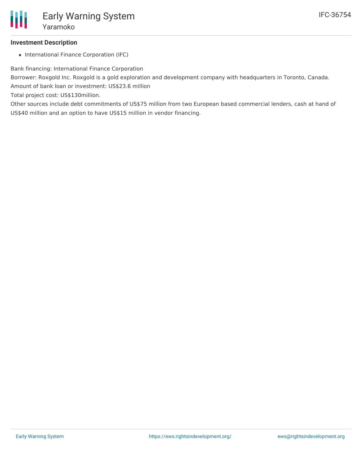# **Investment Description**

• International Finance Corporation (IFC)

Bank financing: International Finance Corporation

Borrower: Roxgold Inc. Roxgold is a gold exploration and development company with headquarters in Toronto, Canada. Amount of bank loan or investment: US\$23.6 million

Total project cost: US\$130million.

Other sources include debt commitments of US\$75 million from two European based commercial lenders, cash at hand of US\$40 million and an option to have US\$15 million in vendor financing.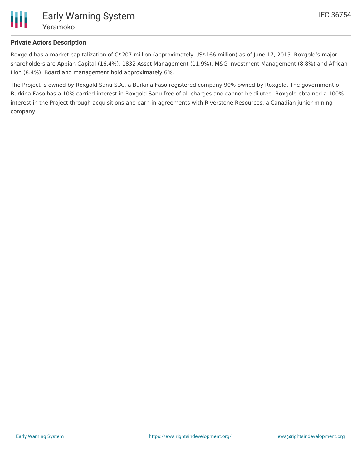

# **Private Actors Description**

Roxgold has a market capitalization of C\$207 million (approximately US\$166 million) as of June 17, 2015. Roxgold's major shareholders are Appian Capital (16.4%), 1832 Asset Management (11.9%), M&G Investment Management (8.8%) and African Lion (8.4%). Board and management hold approximately 6%.

The Project is owned by Roxgold Sanu S.A., a Burkina Faso registered company 90% owned by Roxgold. The government of Burkina Faso has a 10% carried interest in Roxgold Sanu free of all charges and cannot be diluted. Roxgold obtained a 100% interest in the Project through acquisitions and earn-in agreements with Riverstone Resources, a Canadian junior mining company.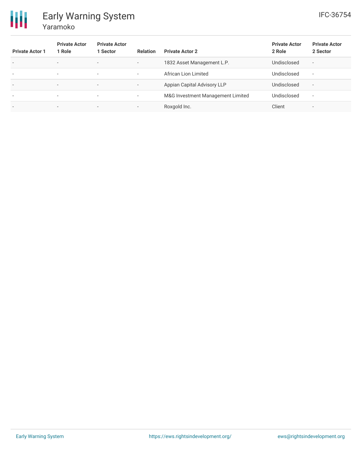

# Early Warning System Yaramoko

| <b>Private Actor 1</b>   | <b>Private Actor</b><br>Role | <b>Private Actor</b><br>1 Sector | <b>Relation</b>          | <b>Private Actor 2</b>            | <b>Private Actor</b><br>2 Role | <b>Private Actor</b><br>2 Sector |
|--------------------------|------------------------------|----------------------------------|--------------------------|-----------------------------------|--------------------------------|----------------------------------|
| $\overline{\phantom{a}}$ | $\overline{\phantom{0}}$     | $\overline{\phantom{0}}$         | $\overline{\phantom{a}}$ | 1832 Asset Management L.P.        | Undisclosed                    | $\overline{\phantom{a}}$         |
| $\overline{\phantom{a}}$ | $\overline{\phantom{a}}$     | $\overline{\phantom{a}}$         | ۰.                       | African Lion Limited              | Undisclosed                    | $\overline{\phantom{a}}$         |
| $\overline{\phantom{a}}$ | $\overline{\phantom{0}}$     | $\overline{\phantom{0}}$         |                          | Appian Capital Advisory LLP       | Undisclosed                    | $\overline{\phantom{a}}$         |
| $\overline{\phantom{a}}$ | $\overline{\phantom{a}}$     | $\overline{\phantom{a}}$         | $\overline{\phantom{a}}$ | M&G Investment Management Limited | Undisclosed                    | $\overline{\phantom{a}}$         |
|                          | $\overline{\phantom{0}}$     | $\overline{\phantom{0}}$         |                          | Roxgold Inc.                      | Client                         | -                                |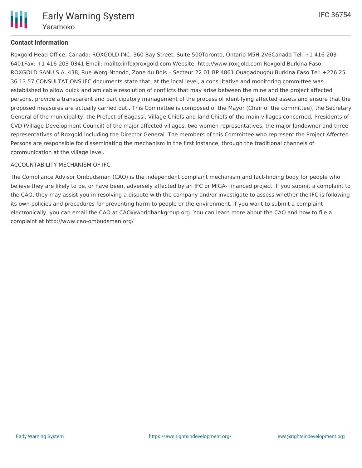

# **Contact Information**

Roxgold Head Office, Canada: ROXGOLD INC. 360 Bay Street, Suite 500Toronto, Ontario M5H 2V6Canada Tel: +1 416-203- 6401Fax: +1 416-203-0341 Email: mailto:info@roxgold.com Website: http://www.roxgold.com Roxgold Burkina Faso: ROXGOLD SANU S.A. 438, Rue Worg-Ntondo, Zone du Bois – Secteur 22 01 BP 4861 Ouagadougou Burkina Faso Tel: +226 25 36 13 57 CONSULTATIONS IFC documents state that, at the local level, a consultative and monitoring committee was established to allow quick and amicable resolution of conflicts that may arise between the mine and the project affected persons, provide a transparent and participatory management of the process of identifying affected assets and ensure that the proposed measures are actually carried out.. This Committee is composed of the Mayor (Chair of the committee), the Secretary General of the municipality, the Prefect of Bagassi, Village Chiefs and land Chiefs of the main villages concerned, Presidents of CVD (Village Development Council) of the major affected villages, two women representatives, the major landowner and three representatives of Roxgold including the Director General. The members of this Committee who represent the Project Affected Persons are responsible for disseminating the mechanism in the first instance, through the traditional channels of communication at the village level.

#### ACCOUNTABILITY MECHANISM OF IFC

The Compliance Advisor Ombudsman (CAO) is the independent complaint mechanism and fact-finding body for people who believe they are likely to be, or have been, adversely affected by an IFC or MIGA- financed project. If you submit a complaint to the CAO, they may assist you in resolving a dispute with the company and/or investigate to assess whether the IFC is following its own policies and procedures for preventing harm to people or the environment. If you want to submit a complaint electronically, you can email the CAO at CAO@worldbankgroup.org. You can learn more about the CAO and how to file a complaint at http://www.cao-ombudsman.org/